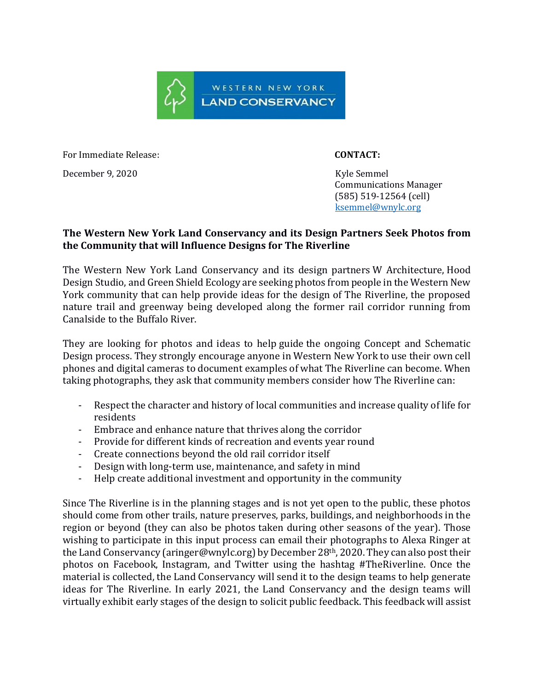

For Immediate Release: **CONTACT:** 

December 9, 2020 Kyle Semmel

 Communications Manager (585) 519-12564 (cell) [ksemmel@wnylc.org](mailto:ksemmel@wnylc.org)

## **The Western New York Land Conservancy and its Design Partners Seek Photos from the Community that will Influence Designs for The Riverline**

The Western New York Land Conservancy and its design partners W Architecture, Hood Design Studio, and Green Shield Ecology are seeking photos from people in the Western New York community that can help provide ideas for the design of The Riverline, the proposed nature trail and greenway being developed along the former rail corridor running from Canalside to the Buffalo River.

They are looking for photos and ideas to help guide the ongoing Concept and Schematic Design process. They strongly encourage anyone in Western New York to use their own cell phones and digital cameras to document examples of what The Riverline can become. When taking photographs, they ask that community members consider how The Riverline can:

- Respect the character and history of local communities and increase quality of life for residents
- Embrace and enhance nature that thrives along the corridor
- Provide for different kinds of recreation and events year round
- Create connections beyond the old rail corridor itself
- Design with long-term use, maintenance, and safety in mind
- Help create additional investment and opportunity in the community

Since The Riverline is in the planning stages and is not yet open to the public, these photos should come from other trails, nature preserves, parks, buildings, and neighborhoods in the region or beyond (they can also be photos taken during other seasons of the year). Those wishing to participate in this input process can email their photographs to Alexa Ringer at the Land Conservancy (aringer@wnylc.org) by December 28<sup>th</sup>, 2020. They can also post their photos on Facebook, Instagram, and Twitter using the hashtag #TheRiverline. Once the material is collected, the Land Conservancy will send it to the design teams to help generate ideas for The Riverline. In early 2021, the Land Conservancy and the design teams will virtually exhibit early stages of the design to solicit public feedback. This feedback will assist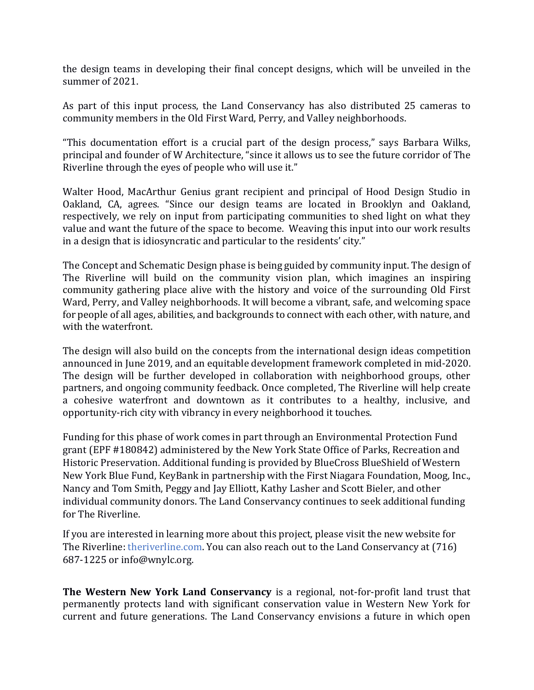the design teams in developing their final concept designs, which will be unveiled in the summer of 2021.

As part of this input process, the Land Conservancy has also distributed 25 cameras to community members in the Old First Ward, Perry, and Valley neighborhoods.

"This documentation effort is a crucial part of the design process," says Barbara Wilks, principal and founder of W Architecture, "since it allows us to see the future corridor of The Riverline through the eyes of people who will use it."

Walter Hood, MacArthur Genius grant recipient and principal of Hood Design Studio in Oakland, CA, agrees. "Since our design teams are located in Brooklyn and Oakland, respectively, we rely on input from participating communities to shed light on what they value and want the future of the space to become. Weaving this input into our work results in a design that is idiosyncratic and particular to the residents' city."

The Concept and Schematic Design phase is being guided by community input. The design of The Riverline will build on the community vision plan, which imagines an inspiring community gathering place alive with the history and voice of the surrounding Old First Ward, Perry, and Valley neighborhoods. It will become a vibrant, safe, and welcoming space for people of all ages, abilities, and backgrounds to connect with each other, with nature, and with the waterfront.

The design will also build on the concepts from the international design ideas competition announced in June 2019, and an equitable development framework completed in mid-2020. The design will be further developed in collaboration with neighborhood groups, other partners, and ongoing community feedback. Once completed, The Riverline will help create a cohesive waterfront and downtown as it contributes to a healthy, inclusive, and opportunity-rich city with vibrancy in every neighborhood it touches.

Funding for this phase of work comes in part through an Environmental Protection Fund grant (EPF #180842) administered by the New York State Office of Parks, Recreation and Historic Preservation. Additional funding is provided by BlueCross BlueShield of Western New York Blue Fund, KeyBank in partnership with the First Niagara Foundation, Moog, Inc., Nancy and Tom Smith, Peggy and Jay Elliott, Kathy Lasher and Scott Bieler, and other individual community donors. The Land Conservancy continues to seek additional funding for The Riverline.

If you are interested in learning more about this project, please visit the new website for The Riverline: theriverline.com. You can also reach out to the Land Conservancy at (716) 687-1225 or info@wnylc.org.

**The Western New York Land Conservancy** is a regional, not-for-profit land trust that permanently protects land with significant conservation value in Western New York for current and future generations. The Land Conservancy envisions a future in which open